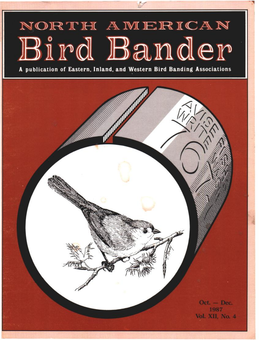# NORTH AMERICAN Bird Bander

**A publication of Eastern, Inland, and Western Bird Banding Associations** 

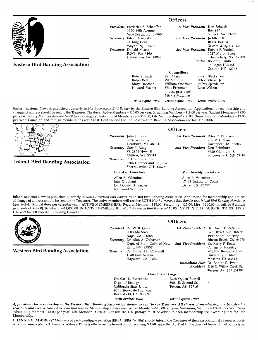|                                         | <b>Officers</b>  |                                                                             |                                                                                   |                                                                                                |
|-----------------------------------------|------------------|-----------------------------------------------------------------------------|-----------------------------------------------------------------------------------|------------------------------------------------------------------------------------------------|
|                                         |                  | <b>President</b> Frederick S. Schaeffer<br>1650 14th Avenue                 |                                                                                   | <b>1st Vice-President</b> Don Schwab<br>Box 847                                                |
|                                         | Secretary        | Vero Beach, FL 32960<br>Eileen Kokorsky<br>11 King Court<br>Wayne, NJ 07470 |                                                                                   | Suffolk, VA 23434<br>2nd Vice-President Judith Bell<br>RD 3. Box 61<br>Newark Valley, NY 13811 |
|                                         | <b>Treasurer</b> | Donald Mease<br>RD#2, Box 436A<br>Hellertown, PA 18055                      | 3rd Vice-President Robert P. Yunick<br>1527 Myron Street<br>Schenectady, NY 12309 |                                                                                                |
| <b>Eastern Bird Banding Association</b> |                  |                                                                             |                                                                                   | Editor Robert J. Pantle<br>35 Logan Hill Rd<br>Candor, NY 13743                                |
|                                         |                  |                                                                             | <b>Councillors</b>                                                                |                                                                                                |
|                                         |                  | Robert Pantle                                                               | Ken Clark                                                                         | Susan Blackshaw                                                                                |
|                                         |                  | Ralph Bell                                                                  | Pat Melville                                                                      | Peter Polisse, Jr.                                                                             |
|                                         |                  | Mary Doscher<br>Howard Fischer                                              | William Oberman<br>Walt Protzman<br>(past president)<br>Mickie Mutchler           | Jeffrey Spendelow-<br>Leon Wilson                                                              |
|                                         |                  | Terms expire 1987                                                           | Terms expire 1988                                                                 | Terms expire 1989                                                                              |

**changes of addresshould be sent to the Treasurer. The dues: Active Members--\$10.00 per year; Sustaining Members--\$18.00 per year; Student Members--S8.00 per year; Family Membership add \$2.00 to any category; Institutional Membership--\$15.00; Life Membership--S200.00; Non-subscribing Members--S3.00 per year. Canadian and foreign memberships add \$4.50. Contributions to the Eastern Bird Banding Association are tax deductible.** 

# **Inland Bird Banding Association**

**President John J. Flora 3636 Williams Dearborn, MI 48124 Secretary Carroll Rudy W. 3866 Hwy. H. Chilton, WI 53014 Treasurer C. Holmes Smith 6305 Cumberland Rd., SW Sherrodsville, OH 44675** 

**Board of Directors** 

**Allen E. Valentine Jane Olyphant Dr. Donald G. Varner Nathaniel Whitney** 

## **Officers**

**1st Vice-President Peter C. Petersen 235 McClellan Davenport, IA 52803 2rid Vice-President Don Beimborn 3630 Glenhurst S. St. Louis Park, MN 55416** 

## **Membership Secretary**

**Allen E. Valentine 17403 Oakington Court Dallas, TX 75252** 

**Inland Regional News is published quarterly in North American Bird Bander by Inland Bird Banding Association. Application for membership and notices of change of address should be sent to the Treasurer. The active members will receive BOTH North American Bird Bander and Inland Bird Banding Newsletter (quarterly}: Annual dues per calendar year: ACTIVE MEMBERSHIPS: Regular Member--\$15.00; Sustaining--S25.00; Life--S200.00 (in full, or 5 annual payments of \$40.00}; Benefactor--\$1,000.00. IN-ACTIVE MEMBERSHIP: North American Bird Bander--\$10.00; INSTITUTIONAL SUBSCRIPTIONS: \$15.00 U.S. and \$20.00 Foreign, including Canadian.** 



**Western Bird Banding Association** 

**President Dr. W. B. Quay 2003 Ida Street Napa, CA 94558 Secretary Dr. Alan A. Gubavich Dept. of Biol., Univ. of Nev. Reno, NV 89557 Treasurer Dr. Howard L. Cogswell 1548 East Avenue Hayward, CA 94541** 

**Officers** 

**1st Vice-President Dr. David R DeSante 2nd Vice-President Kr. Kerry P. Reese Immediate Past** Dr. Robert C. Tweit **President 3116 N. Willow Creek Dr. Point Reyes Bird Observ. 4990 Shoreline Hwy Stinson Beach, CA 94970 College of Forestry Wildlife Range Science University of Idaho Moscow, ID 83843 Tucson, AZ 85712-1382** 

Dr. Carl D. Barrentine<br>Dept. of Biology **California State Univ. 9001 Stockdale Highway Bakersfield, CA 93309** 

**Directors at Large**<br>**Ruth Ogden Russell** 2901 E. Second St.<br>Tucson, AZ 85716

**Term expires 1988 Term expires 1989** 

**Applications for membership in the Western Bird Banding Association should be sent to the Treasurer. All classes of membership are by calendar**  year only and receive North American Bird Bander. Membership classes are: Active Member-\$13.00 per year; Sustaining Member-\$26.00 per year; Non**subscribing Member--S3.00 per year; Life Member--S260.00. Outside the U.S. postage must be added to each membership fee, excepting that for Life Membership.** 

CHANGE OF ADDRESS? Members of each banding association (EBBA, IBBA, WBBA) should inform the Treasurer of their association(s) as soon as possi**ble concerning a planned change of address. There is otherwise the hazard of not receiving NABB, since the U.S. Post Office does not forward mail of this type,**